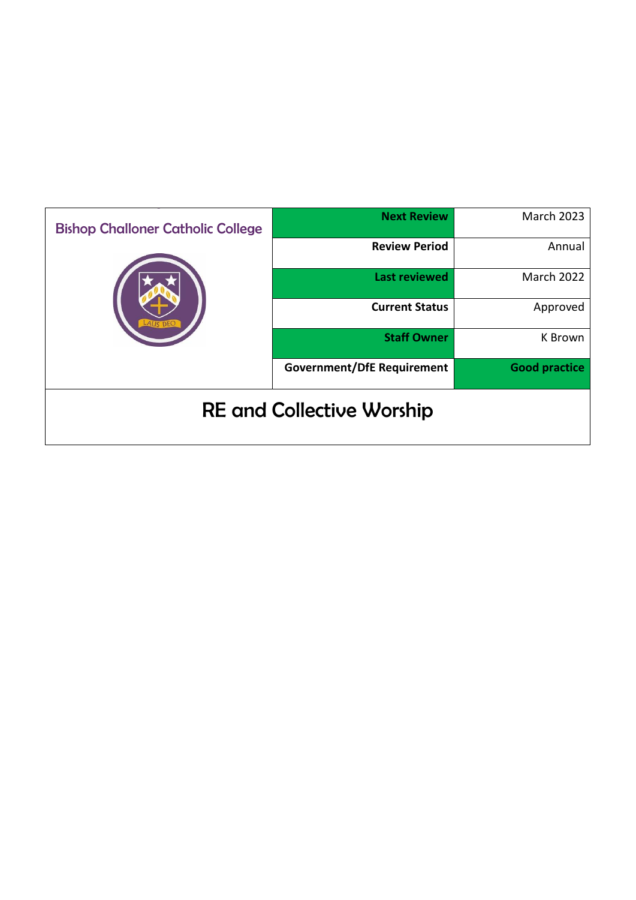| <b>Bishop Challoner Catholic College</b> | <b>Next Review</b>                | <b>March 2023</b>    |
|------------------------------------------|-----------------------------------|----------------------|
|                                          | <b>Review Period</b>              | Annual               |
|                                          | <b>Last reviewed</b>              | March 2022           |
|                                          | <b>Current Status</b>             | Approved             |
|                                          | <b>Staff Owner</b>                | K Brown              |
|                                          | <b>Government/DfE Requirement</b> | <b>Good practice</b> |
| <b>RE and Collective Worship</b>         |                                   |                      |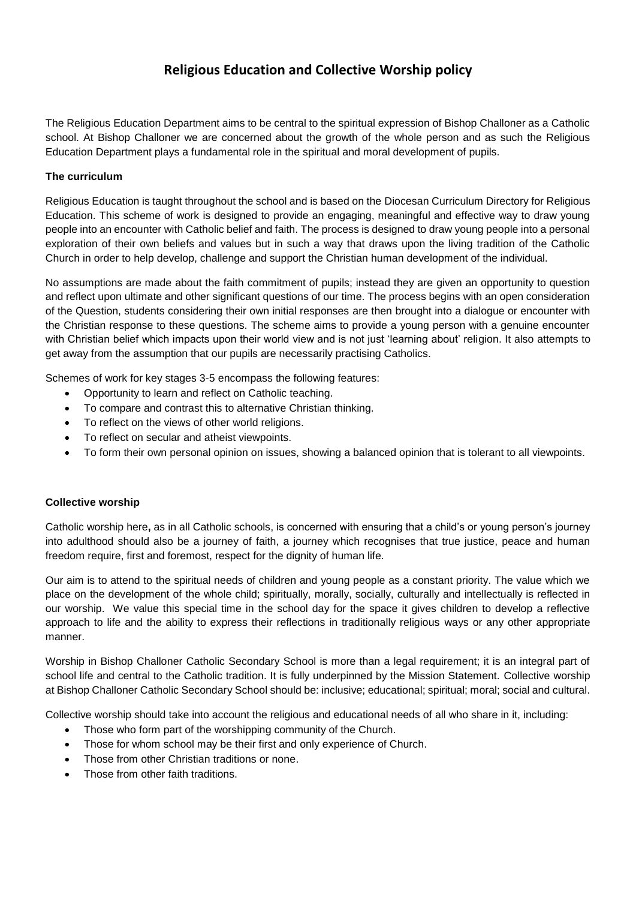# **Religious Education and Collective Worship policy**

The Religious Education Department aims to be central to the spiritual expression of Bishop Challoner as a Catholic school. At Bishop Challoner we are concerned about the growth of the whole person and as such the Religious Education Department plays a fundamental role in the spiritual and moral development of pupils.

### **The curriculum**

Religious Education is taught throughout the school and is based on the Diocesan Curriculum Directory for Religious Education. This scheme of work is designed to provide an engaging, meaningful and effective way to draw young people into an encounter with Catholic belief and faith. The process is designed to draw young people into a personal exploration of their own beliefs and values but in such a way that draws upon the living tradition of the Catholic Church in order to help develop, challenge and support the Christian human development of the individual.

No assumptions are made about the faith commitment of pupils; instead they are given an opportunity to question and reflect upon ultimate and other significant questions of our time. The process begins with an open consideration of the Question, students considering their own initial responses are then brought into a dialogue or encounter with the Christian response to these questions. The scheme aims to provide a young person with a genuine encounter with Christian belief which impacts upon their world view and is not just 'learning about' religion. It also attempts to get away from the assumption that our pupils are necessarily practising Catholics.

Schemes of work for key stages 3-5 encompass the following features:

- Opportunity to learn and reflect on Catholic teaching.
- To compare and contrast this to alternative Christian thinking.
- To reflect on the views of other world religions.
- To reflect on secular and atheist viewpoints.
- To form their own personal opinion on issues, showing a balanced opinion that is tolerant to all viewpoints.

#### **Collective worship**

Catholic worship here**,** as in all Catholic schools, is concerned with ensuring that a child's or young person's journey into adulthood should also be a journey of faith, a journey which recognises that true justice, peace and human freedom require, first and foremost, respect for the dignity of human life.

Our aim is to attend to the spiritual needs of children and young people as a constant priority. The value which we place on the development of the whole child; spiritually, morally, socially, culturally and intellectually is reflected in our worship. We value this special time in the school day for the space it gives children to develop a reflective approach to life and the ability to express their reflections in traditionally religious ways or any other appropriate manner.

Worship in Bishop Challoner Catholic Secondary School is more than a legal requirement; it is an integral part of school life and central to the Catholic tradition. It is fully underpinned by the Mission Statement. Collective worship at Bishop Challoner Catholic Secondary School should be: inclusive; educational; spiritual; moral; social and cultural.

Collective worship should take into account the religious and educational needs of all who share in it, including:

- Those who form part of the worshipping community of the Church.
- Those for whom school may be their first and only experience of Church.
- Those from other Christian traditions or none.
- Those from other faith traditions.